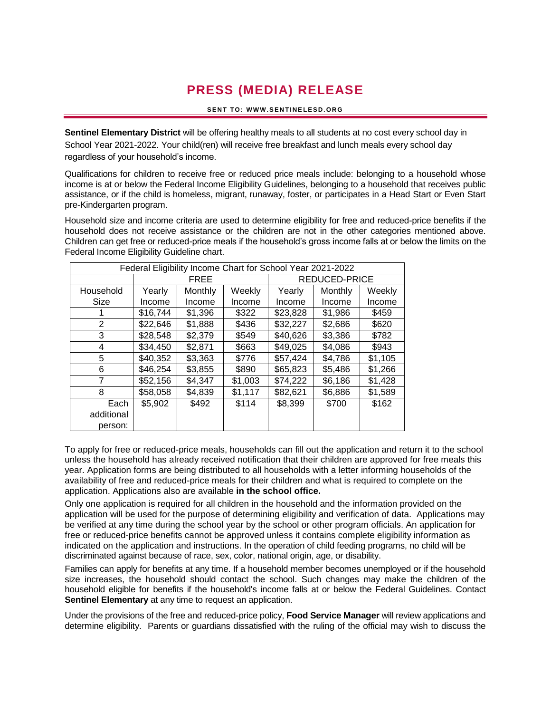## **PRESS (MEDIA) RELEASE**

## **SENT TO: WWW.SENTINELESD.ORG**

**Sentinel Elementary District** will be offering healthy meals to all students at no cost every school day in School Year 2021-2022. Your child(ren) will receive free breakfast and lunch meals every school day regardless of your household's income.

Qualifications for children to receive free or reduced price meals include: belonging to a household whose income is at or below the Federal Income Eligibility Guidelines, belonging to a household that receives public assistance, or if the child is homeless, migrant, runaway, foster, or participates in a Head Start or Even Start pre-Kindergarten program.

Household size and income criteria are used to determine eligibility for free and reduced-price benefits if the household does not receive assistance or the children are not in the other categories mentioned above. Children can get free or reduced-price meals if the household's gross income falls at or below the limits on the Federal Income Eligibility Guideline chart.

| Federal Eligibility Income Chart for School Year 2021-2022 |             |         |         |               |         |         |
|------------------------------------------------------------|-------------|---------|---------|---------------|---------|---------|
|                                                            | <b>FREE</b> |         |         | REDUCED-PRICE |         |         |
| Household                                                  | Yearly      | Monthly | Weekly  | Yearly        | Monthly | Weekly  |
| Size                                                       | Income      | Income  | Income  | Income        | Income  | Income  |
|                                                            | \$16,744    | \$1,396 | \$322   | \$23,828      | \$1,986 | \$459   |
| 2                                                          | \$22,646    | \$1,888 | \$436   | \$32,227      | \$2,686 | \$620   |
| 3                                                          | \$28,548    | \$2,379 | \$549   | \$40,626      | \$3,386 | \$782   |
| 4                                                          | \$34,450    | \$2,871 | \$663   | \$49,025      | \$4,086 | \$943   |
| 5                                                          | \$40,352    | \$3,363 | \$776   | \$57,424      | \$4,786 | \$1,105 |
| 6                                                          | \$46,254    | \$3,855 | \$890   | \$65,823      | \$5,486 | \$1,266 |
| 7                                                          | \$52,156    | \$4,347 | \$1,003 | \$74,222      | \$6,186 | \$1,428 |
| 8                                                          | \$58,058    | \$4,839 | \$1,117 | \$82,621      | \$6,886 | \$1,589 |
| Each                                                       | \$5,902     | \$492   | \$114   | \$8,399       | \$700   | \$162   |
| additional                                                 |             |         |         |               |         |         |
| person:                                                    |             |         |         |               |         |         |

To apply for free or reduced-price meals, households can fill out the application and return it to the school unless the household has already received notification that their children are approved for free meals this year. Application forms are being distributed to all households with a letter informing households of the availability of free and reduced-price meals for their children and what is required to complete on the application. Applications also are available **in the school office.**

Only one application is required for all children in the household and the information provided on the application will be used for the purpose of determining eligibility and verification of data. Applications may be verified at any time during the school year by the school or other program officials. An application for free or reduced-price benefits cannot be approved unless it contains complete eligibility information as indicated on the application and instructions. In the operation of child feeding programs, no child will be discriminated against because of race, sex, color, national origin, age, or disability.

Families can apply for benefits at any time. If a household member becomes unemployed or if the household size increases, the household should contact the school. Such changes may make the children of the household eligible for benefits if the household's income falls at or below the Federal Guidelines. Contact **Sentinel Elementary** at any time to request an application.

Under the provisions of the free and reduced-price policy, **Food Service Manager** will review applications and determine eligibility. Parents or guardians dissatisfied with the ruling of the official may wish to discuss the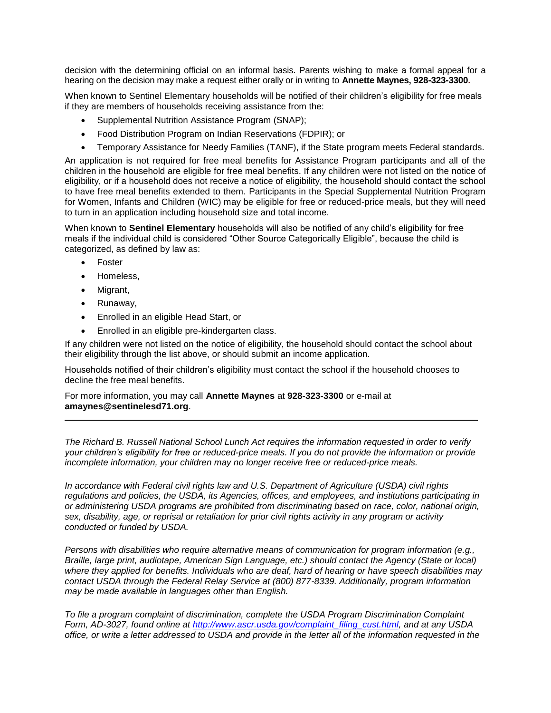decision with the determining official on an informal basis. Parents wishing to make a formal appeal for a hearing on the decision may make a request either orally or in writing to **Annette Maynes, 928-323-3300.**

When known to Sentinel Elementary households will be notified of their children's eligibility for free meals if they are members of households receiving assistance from the:

- Supplemental Nutrition Assistance Program (SNAP);
- Food Distribution Program on Indian Reservations (FDPIR); or
- Temporary Assistance for Needy Families (TANF), if the State program meets Federal standards.

An application is not required for free meal benefits for Assistance Program participants and all of the children in the household are eligible for free meal benefits. If any children were not listed on the notice of eligibility, or if a household does not receive a notice of eligibility, the household should contact the school to have free meal benefits extended to them. Participants in the Special Supplemental Nutrition Program for Women, Infants and Children (WIC) may be eligible for free or reduced-price meals, but they will need to turn in an application including household size and total income.

When known to **Sentinel Elementary** households will also be notified of any child's eligibility for free meals if the individual child is considered "Other Source Categorically Eligible", because the child is categorized, as defined by law as:

- Foster
- Homeless,
- Migrant,
- Runaway,
- Enrolled in an eligible Head Start, or
- Enrolled in an eligible pre-kindergarten class.

If any children were not listed on the notice of eligibility, the household should contact the school about their eligibility through the list above, or should submit an income application.

Households notified of their children's eligibility must contact the school if the household chooses to decline the free meal benefits.

For more information, you may call **Annette Maynes** at **928-323-3300** or e-mail at **amaynes@sentinelesd71.org**.

*The Richard B. Russell National School Lunch Act requires the information requested in order to verify your children's eligibility for free or reduced-price meals. If you do not provide the information or provide incomplete information, your children may no longer receive free or reduced-price meals.* 

*In accordance with Federal civil rights law and U.S. Department of Agriculture (USDA) civil rights regulations and policies, the USDA, its Agencies, offices, and employees, and institutions participating in or administering USDA programs are prohibited from discriminating based on race, color, national origin, sex, disability, age, or reprisal or retaliation for prior civil rights activity in any program or activity conducted or funded by USDA.*

*Persons with disabilities who require alternative means of communication for program information (e.g., Braille, large print, audiotape, American Sign Language, etc.) should contact the Agency (State or local) where they applied for benefits. Individuals who are deaf, hard of hearing or have speech disabilities may contact USDA through the Federal Relay Service at (800) 877-8339. Additionally, program information may be made available in languages other than English.*

*To file a program complaint of discrimination, complete the USDA Program Discrimination Complaint Form, AD-3027, found online at [http://www.ascr.usda.gov/complaint\\_filing\\_cust.html,](http://www.ascr.usda.gov/complaint_filing_cust.html) and at any USDA office, or write a letter addressed to USDA and provide in the letter all of the information requested in the*